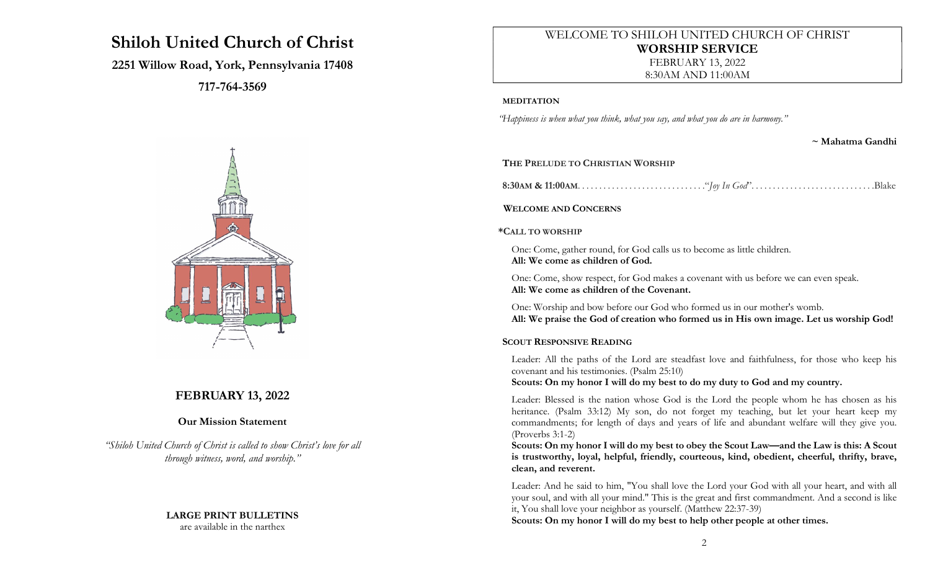# Shiloh United Church of Christ

# 2251 Willow Road, York, Pennsylvania 17408

717-764-3569



# FEBRUARY 13, 2022

# Our Mission Statement

"Shiloh United Church of Christ is called to show Christ's love for all through witness, word, and worship."

# LARGE PRINT BULLETINS

are available in the narthex

# WELCOME TO SHILOH UNITED CHURCH OF CHRIST WORSHIP SERVICE FEBRUARY 13, 2022 8:30AM AND 11:00AM

#### MEDITATION

"Happiness is when what you think, what you say, and what you do are in harmony."

~ Mahatma Gandhi

### THE PRELUDE TO CHRISTIAN WORSHIP

8:30AM & 11:00AM. . . . . . . . . . . . . . . . . . . . . . . . . . . . . ."Joy In God". . . . . . . . . . . . . . . . . . . . . . . . . . . . .Blake

### WELCOME AND CONCERNS

#### \*CALL TO WORSHIP

One: Come, gather round, for God calls us to become as little children. All: We come as children of God.

One: Come, show respect, for God makes a covenant with us before we can even speak. All: We come as children of the Covenant.

One: Worship and bow before our God who formed us in our mother's womb. All: We praise the God of creation who formed us in His own image. Let us worship God!

### SCOUT RESPONSIVE READING

Leader: All the paths of the Lord are steadfast love and faithfulness, for those who keep his covenant and his testimonies. (Psalm 25:10)

Scouts: On my honor I will do my best to do my duty to God and my country.

Leader: Blessed is the nation whose God is the Lord the people whom he has chosen as his heritance. (Psalm 33:12) My son, do not forget my teaching, but let your heart keep my commandments; for length of days and years of life and abundant welfare will they give you. (Proverbs 3:1-2)

Scouts: On my honor I will do my best to obey the Scout Law—and the Law is this: A Scout is trustworthy, loyal, helpful, friendly, courteous, kind, obedient, cheerful, thrifty, brave, clean, and reverent.

Leader: And he said to him, "You shall love the Lord your God with all your heart, and with all your soul, and with all your mind." This is the great and first commandment. And a second is like it, You shall love your neighbor as yourself. (Matthew 22:37-39)

Scouts: On my honor I will do my best to help other people at other times.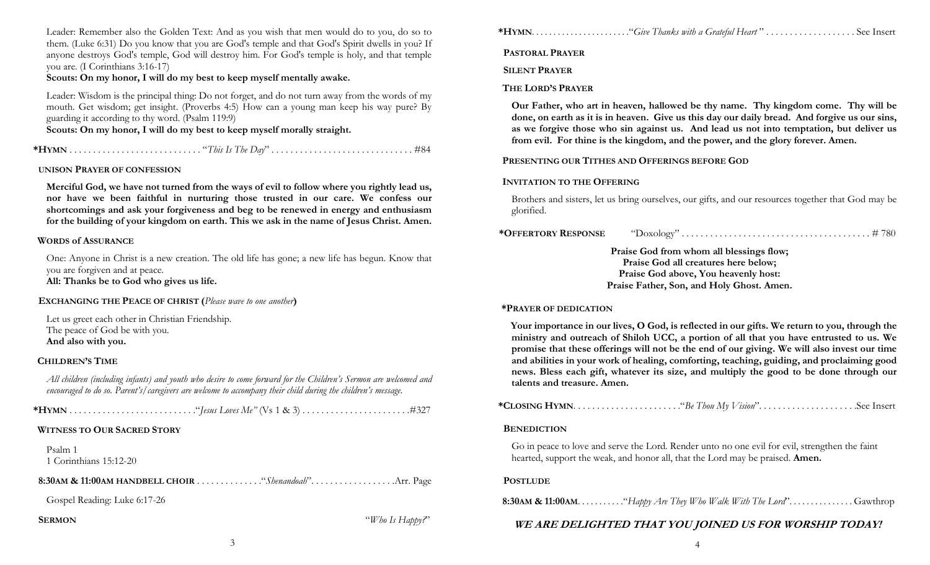Leader: Remember also the Golden Text: And as you wish that men would do to you, do so to them. (Luke 6:31) Do you know that you are God's temple and that God's Spirit dwells in you? If anyone destroys God's temple, God will destroy him. For God's temple is holy, and that temple you are. (I Corinthians 3:16-17)

Scouts: On my honor, I will do my best to keep myself mentally awake.

Leader: Wisdom is the principal thing: Do not forget, and do not turn away from the words of my mouth. Get wisdom; get insight. (Proverbs 4:5) How can a young man keep his way pure? By guarding it according to thy word. (Psalm 119:9)

Scouts: On my honor, I will do my best to keep myself morally straight.

\*HYMN . . . . . . . . . . . . . . . . . . . . . . . . . . . . "This Is The Day" . . . . . . . . . . . . . . . . . . . . . . . . . . . . . . #84

#### UNISON PRAYER OF CONFESSION

Merciful God, we have not turned from the ways of evil to follow where you rightly lead us, nor have we been faithful in nurturing those trusted in our care. We confess our shortcomings and ask your forgiveness and beg to be renewed in energy and enthusiasm for the building of your kingdom on earth. This we ask in the name of Jesus Christ. Amen.

#### WORDS of ASSURANCE

One: Anyone in Christ is a new creation. The old life has gone; a new life has begun. Know that you are forgiven and at peace.

All: Thanks be to God who gives us life.

EXCHANGING THE PEACE OF CHRIST (Please wave to one another)

Let us greet each other in Christian Friendship. The peace of God be with you. And also with you.

#### CHILDREN'S TIME

All children (including infants) and youth who desire to come forward for the Children's Sermon are welcomed and encouraged to do so. Parent's/caregivers are welcome to accompany their child during the children's message.

### WITNESS TO OUR SACRED STORY

Psalm 1 1 Corinthians 15:12-20

Gospel Reading: Luke 6:17-26

### **SERMON** "Who Is Happy?"

\*HYMN. . . . . . . . . . . . . . . . . . . . . . ."Give Thanks with a Grateful Heart " . . . . . . . . . . . . . . . . . . . See Insert

PASTORAL PRAYER

SILENT PRAYER

### THE LORD'S PRAYER

Our Father, who art in heaven, hallowed be thy name. Thy kingdom come. Thy will be done, on earth as it is in heaven. Give us this day our daily bread. And forgive us our sins, as we forgive those who sin against us. And lead us not into temptation, but deliver us from evil. For thine is the kingdom, and the power, and the glory forever. Amen.

#### PRESENTING OUR TITHES AND OFFERINGS BEFORE GOD

#### INVITATION TO THE OFFERING

Brothers and sisters, let us bring ourselves, our gifts, and our resources together that God may be glorified.

| *OFFERTORY RESPONSE | "Doxology" |  | 1780 |
|---------------------|------------|--|------|
|---------------------|------------|--|------|

Praise God from whom all blessings flow; Praise God all creatures here below; Praise God above, You heavenly host: Praise Father, Son, and Holy Ghost. Amen.

#### \*PRAYER OF DEDICATION

Your importance in our lives, O God, is reflected in our gifts. We return to you, through the ministry and outreach of Shiloh UCC, a portion of all that you have entrusted to us. We promise that these offerings will not be the end of our giving. We will also invest our time and abilities in your work of healing, comforting, teaching, guiding, and proclaiming good news. Bless each gift, whatever its size, and multiply the good to be done through our talents and treasure. Amen.

#### **BENEDICTION**

Go in peace to love and serve the Lord. Render unto no one evil for evil, strengthen the faint hearted, support the weak, and honor all, that the Lord may be praised. Amen.

### **POSTLUDE**

**8:30AM & 11:00AM.** . . . . . . . . . . . . "Happy Are They Who Walk With The Lord". . . . . . . . . . . . . . . Gawthrop

### WE ARE DELIGHTED THAT YOU JOINED US FOR WORSHIP TODAY!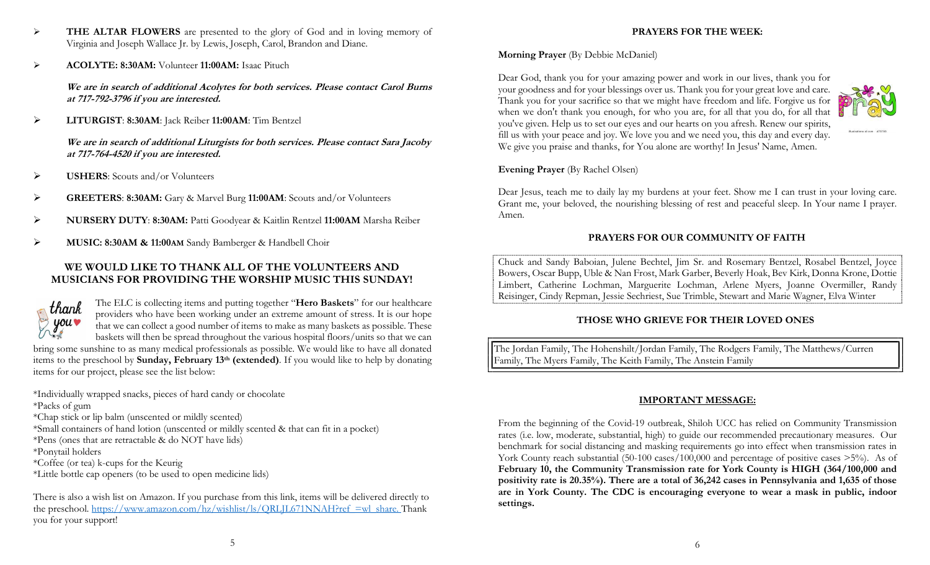ACOLYTE: 8:30AM: Volunteer 11:00AM: Isaac Pituch

We are in search of additional Acolytes for both services. Please contact Carol Burns at 717-792-3796 if you are interested.

LITURGIST: 8:30AM: Jack Reiber 11:00AM: Tim Bentzel

We are in search of additional Liturgists for both services. Please contact Sara Jacoby at 717-764-4520 if you are interested.

- $\triangleright$  USHERS: Scouts and/or Volunteers
- GREETERS: 8:30AM: Gary & Marvel Burg 11:00AM: Scouts and/or Volunteers
- NURSERY DUTY: 8:30AM: Patti Goodyear & Kaitlin Rentzel 11:00AM Marsha Reiber
- MUSIC: 8:30AM & 11:00AM Sandy Bamberger & Handbell Choir

# WE WOULD LIKE TO THANK ALL OF THE VOLUNTEERS AND MUSICIANS FOR PROVIDING THE WORSHIP MUSIC THIS SUNDAY!



The ELC is collecting items and putting together "Hero Baskets" for our healthcare providers who have been working under an extreme amount of stress. It is our hope that we can collect a good number of items to make as many baskets as possible. These baskets will then be spread throughout the various hospital floors/units so that we can bring some sunshine to as many medical professionals as possible. We would like to have all donated items to the preschool by **Sunday, February 13<sup>th</sup> (extended)**. If you would like to help by donating items for our project, please see the list below:

\*Individually wrapped snacks, pieces of hard candy or chocolate

\*Packs of gum

\*Chap stick or lip balm (unscented or mildly scented)

\*Small containers of hand lotion (unscented or mildly scented & that can fit in a pocket)

\*Pens (ones that are retractable & do NOT have lids)

\*Ponytail holders

- \*Coffee (or tea) k-cups for the Keurig
- \*Little bottle cap openers (to be used to open medicine lids)

There is also a wish list on Amazon. If you purchase from this link, items will be delivered directly to the preschool. https://www.amazon.com/hz/wishlist/ls/QRLJL671NNAH?ref\_=wl\_share. Thank you for your support!

# PRAYERS FOR THE WEEK:

# Morning Prayer (By Debbie McDaniel)

Dear God, thank you for your amazing power and work in our lives, thank you for your goodness and for your blessings over us. Thank you for your great love and care. Thank you for your sacrifice so that we might have freedom and life. Forgive us for when we don't thank you enough, for who you are, for all that you do, for all that you've given. Help us to set our eyes and our hearts on you afresh. Renew our spirits, fill us with your peace and joy. We love you and we need you, this day and every day. We give you praise and thanks, for You alone are worthy! In Jesus' Name, Amen.



Dear Jesus, teach me to daily lay my burdens at your feet. Show me I can trust in your loving care. Grant me, your beloved, the nourishing blessing of rest and peaceful sleep. In Your name I prayer. Amen.

### PRAYERS FOR OUR COMMUNITY OF FAITH

Chuck and Sandy Baboian, Julene Bechtel, Jim Sr. and Rosemary Bentzel, Rosabel Bentzel, Joyce Bowers, Oscar Bupp, Uble & Nan Frost, Mark Garber, Beverly Hoak, Bev Kirk, Donna Krone, Dottie Limbert, Catherine Lochman, Marguerite Lochman, Arlene Myers, Joanne Overmiller, Randy Reisinger, Cindy Repman, Jessie Sechriest, Sue Trimble, Stewart and Marie Wagner, Elva Winter

# THOSE WHO GRIEVE FOR THEIR LOVED ONES

The Jordan Family, The Hohenshilt/Jordan Family, The Rodgers Family, The Matthews/Curren Family, The Myers Family, The Keith Family, The Anstein Family

### IMPORTANT MESSAGE:

From the beginning of the Covid-19 outbreak, Shiloh UCC has relied on Community Transmission rates (i.e. low, moderate, substantial, high) to guide our recommended precautionary measures. Our benchmark for social distancing and masking requirements go into effect when transmission rates in York County reach substantial (50-100 cases/100,000 and percentage of positive cases >5%). As of February 10, the Community Transmission rate for York County is HIGH (364/100,000 and positivity rate is 20.35%). There are a total of 36,242 cases in Pennsylvania and 1,635 of those are in York County. The CDC is encouraging everyone to wear a mask in public, indoor settings.